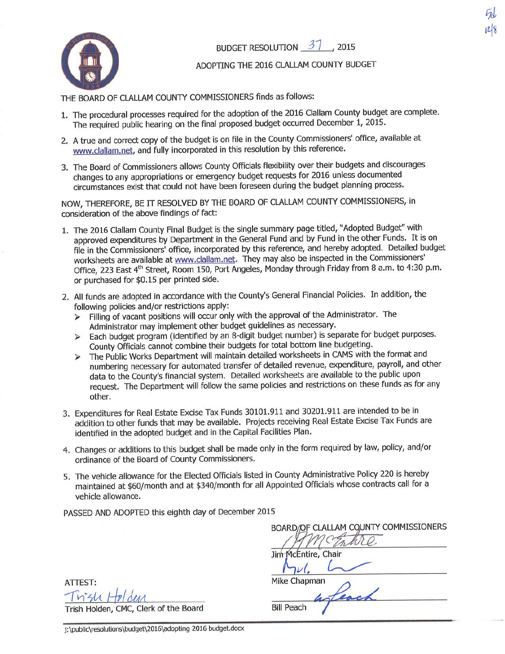

## BUDGET RESOLUTION  $31$ , 2015

fI  $\bar{\omega}$ i.  $128$ 

## ADOPTING THE 2016 CLALLAM COUNTY BUDGET

THE BOARD OF CLALLAM COUNTY COMMISSIONERS finds as follows:

- 1. The procedural processes required for the adoption of the 2016 Clallam County budget are complete. The required public hearing on the final proposed budget occurred December 1, 2015.
- 2. A true and correct copy of the budget is on file in the County Commissioners' office, available at www.clallam.net, and fully incorporated in this resolution by this reference.
- 3. The Board of Commissioners allows County Officials flexibility over their budgets and discourages changes to any appropriations or emergency budget requests for 2016 unless documented circumstances exist that could not have been foreseen during the budget planning process.

NOW, THEREFORE, BE IT RESOLVED BY THE BOARD OF CLALLAM COUNTY COMMISSIONERS, in consideration of the above findings of fact:

- 1. The 2016 Clallam County Final Budget is the single summary page titled, "Adopted Budget" with approved expenditures by Department in the General Fund and by Fund in the other Funds. It is on file in the Commissioners' office, incorporated by this reference, and hereby adopted. Detailed budget worksheets are available at www.clallam,net. They may also be inspected in the Commissioners' Office, 223 East 4<sup>th</sup> Street, Room 150, Port Angeles, Monday through Friday from 8 a.m. to 4:30 p.m. or purchased for \$0.15 per printed side.
- 2. All funds are adopted in accordance with the County's General Financial Policies. In addition, the
	- following policies and/or restrictions apply:<br>> Filling of vacant positions will occur only with the approval of the Administrator. The
	- Administrator may implement other budget guidelines as necessary.<br>
	> Each budget program (identified by an 8-digit budget number) is separate for budget purposes. County Officials cannot combine their budgets for total bottom line budgeting.
	- $\blacktriangleright$ numbering necessary for automated transfer of detailed revenue, expenditure, payroll, and other data to the County's financial system. Detailed worksheets are available to the public upon request. The Department will follow the same policies and restrictions on these funds as for any other.
- 3. Expenditures for Real Estate Excise Tax Funds 30101.911 and 30201.911 are intended to be in addition to other funds that may be available, Projects receiving Real Estate Excise Tax Funds are identified in the adopted budget and in the capital Facilities Plan.
- 4. Changes or additions to this budget shall be made only in the form required by law, policy, and/or ordinance of the Board of County Commissioners.
- 5. The vehicle allowance for the Elected Officials listed in County Administrative Policy 220 is hereby maintained at \$60/month and at \$340/month for all Appointed Officials whose contracts call for a vehicle allowance.

PASSED AND ADOPTED this eighth day of December 2015

ATTEST: Trish Holden

Trish Holden, CMC, Clerk of the Board

BOARD/OF CLALLAM COUNTY COMMISSIONERS McEntire, Chair Jim Mike Chapman

**Bill Peach** 

j:\public\resolutions\budget\2016\adopting 2016 budget.docx